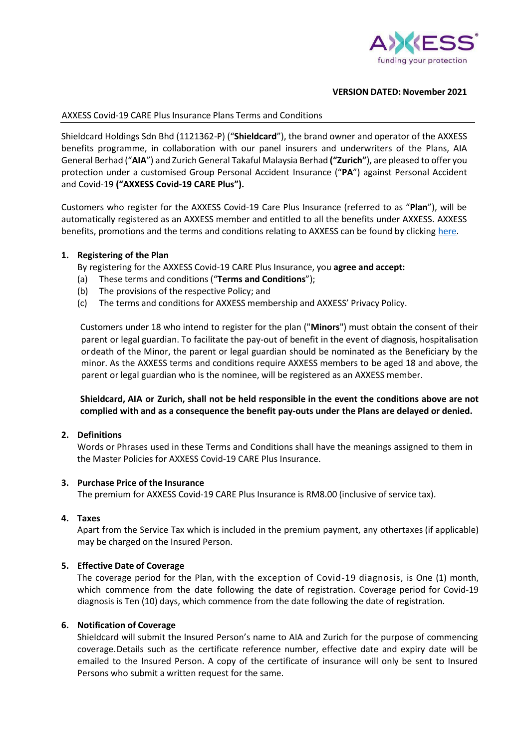

### **VERSION DATED: November 2021**

### AXXESS Covid-19 CARE Plus Insurance Plans Terms and Conditions

Shieldcard Holdings Sdn Bhd (1121362-P) ("**Shieldcard**"), the brand owner and operator of the AXXESS benefits programme, in collaboration with our panel insurers and underwriters of the Plans, AIA General Berhad ("**AIA**") and Zurich General Takaful Malaysia Berhad **("Zurich"**), are pleased to offer you protection under a customised Group Personal Accident Insurance ("**PA**") against Personal Accident and Covid-19 **("AXXESS Covid-19 CARE Plus").**

Customers who register for the AXXESS Covid-19 Care Plus Insurance (referred to as "**Plan**"), will be automatically registered as an AXXESS member and entitled to all the benefits under AXXESS. AXXESS benefits, promotions and the terms and conditions relating to AXXESS can be found by clicking [here.](http://www.axxess.com.my/)

#### **1. Registering of the Plan**

By registering for the AXXESS Covid-19 CARE Plus Insurance, you **agree and accept:**

- (a) These terms and conditions ("**Terms and Conditions**");
- (b) The provisions of the respective Policy; and
- (c) The terms and conditions for AXXESS membership and AXXESS' Privacy Policy.

Customers under 18 who intend to register for the plan ("**Minors**") must obtain the consent of their parent or legal guardian. To facilitate the pay-out of benefit in the event of diagnosis, hospitalisation or death of the Minor, the parent or legal guardian should be nominated as the Beneficiary by the minor. As the AXXESS terms and conditions require AXXESS members to be aged 18 and above, the parent or legal guardian who is the nominee, will be registered as an AXXESS member.

## **Shieldcard, AIA or Zurich, shall not be held responsible in the event the conditions above are not complied with and as a consequence the benefit pay-outs under the Plans are delayed or denied.**

#### **2. Definitions**

Words or Phrases used in these Terms and Conditions shall have the meanings assigned to them in the Master Policies for AXXESS Covid-19 CARE Plus Insurance.

#### **3. Purchase Price of the Insurance**

The premium for AXXESS Covid-19 CARE Plus Insurance is RM8.00 (inclusive of service tax).

## **4. Taxes**

Apart from the Service Tax which is included in the premium payment, any othertaxes (if applicable) may be charged on the Insured Person.

## **5. Effective Date of Coverage**

The coverage period for the Plan, with the exception of Covid-19 diagnosis, is One (1) month, which commence from the date following the date of registration. Coverage period for Covid-19 diagnosis is Ten (10) days, which commence from the date following the date of registration.

## **6. Notification of Coverage**

Shieldcard will submit the Insured Person's name to AIA and Zurich for the purpose of commencing coverage.Details such as the certificate reference number, effective date and expiry date will be emailed to the Insured Person. A copy of the certificate of insurance will only be sent to Insured Persons who submit a written request for the same.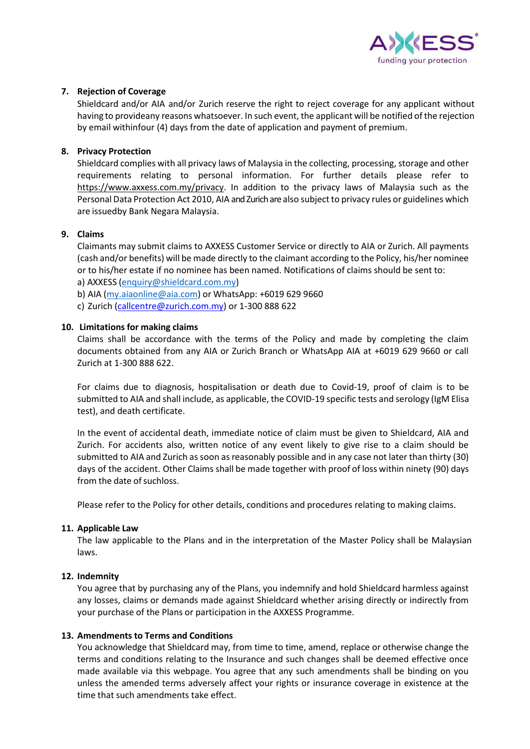

## **7. Rejection of Coverage**

Shieldcard and/or AIA and/or Zurich reserve the right to reject coverage for any applicant without having to provideany reasons whatsoever. In such event, the applicant will be notified of the rejection by email withinfour (4) days from the date of application and payment of premium.

## **8. Privacy Protection**

Shieldcard complies with all privacy laws of Malaysia in the collecting, processing, storage and other requirements relating to personal information. For further details please refer to [https://www.axxess.com.my/privacy.](https://www.axxess.com.my/privacy) In addition to the privacy laws of Malaysia such as the Personal Data Protection Act 2010, AIA and Zurich are also subject to privacy rules or guidelines which are issuedby Bank Negara Malaysia.

## **9. Claims**

Claimants may submit claims to AXXESS Customer Service or directly to AIA or Zurich. All payments (cash and/or benefits) will be made directly to the claimant according to the Policy, his/her nominee or to his/her estate if no nominee has been named. Notifications of claims should be sent to:

a) AXXESS [\(enquiry@shieldcard.com.my\)](mailto:enquiry@shieldcard.com.my)

- b) AIA [\(my.aiaonline@aia.com\)](mailto:my.aiaonline@aia.com) or WhatsApp: +6019 629 9660
- c) Zurich [\(callcentre@zurich.com.my\)](mailto:callcentre@zurich.com.my) or 1-300 888 622

## **10. Limitations for making claims**

Claims shall be accordance with the terms of the Policy and made by completing the claim documents obtained from any AIA or Zurich Branch or WhatsApp AIA at +6019 629 9660 or call Zurich at 1-300 888 622.

For claims due to diagnosis, hospitalisation or death due to Covid-19, proof of claim is to be submitted to AIA and shall include, as applicable, the COVID-19 specific tests and serology (IgM Elisa test), and death certificate.

In the event of accidental death, immediate notice of claim must be given to Shieldcard, AIA and Zurich. For accidents also, written notice of any event likely to give rise to a claim should be submitted to AIA and Zurich as soon as reasonably possible and in any case not later than thirty (30) days of the accident. Other Claims shall be made together with proof of loss within ninety (90) days from the date of suchloss.

Please refer to the Policy for other details, conditions and procedures relating to making claims.

## **11. Applicable Law**

The law applicable to the Plans and in the interpretation of the Master Policy shall be Malaysian laws.

# **12. Indemnity**

You agree that by purchasing any of the Plans, you indemnify and hold Shieldcard harmless against any losses, claims or demands made against Shieldcard whether arising directly or indirectly from your purchase of the Plans or participation in the AXXESS Programme.

## **13. Amendments to Terms and Conditions**

You acknowledge that Shieldcard may, from time to time, amend, replace or otherwise change the terms and conditions relating to the Insurance and such changes shall be deemed effective once made available via this webpage. You agree that any such amendments shall be binding on you unless the amended terms adversely affect your rights or insurance coverage in existence at the time that such amendments take effect.